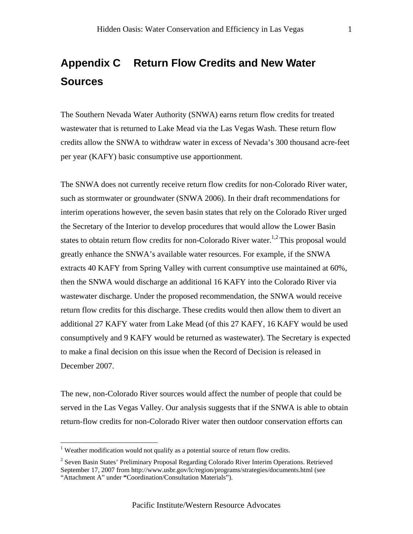## **Appendix C Return Flow Credits and New Water Sources**

The Southern Nevada Water Authority (SNWA) earns return flow credits for treated wastewater that is returned to Lake Mead via the Las Vegas Wash. These return flow credits allow the SNWA to withdraw water in excess of Nevada's 300 thousand acre-feet per year (KAFY) basic consumptive use apportionment.

The SNWA does not currently receive return flow credits for non-Colorado River water, such as stormwater or groundwater (SNWA 2006). In their draft recommendations for interim operations however, the seven basin states that rely on the Colorado River urged the Secretary of the Interior to develop procedures that would allow the Lower Basin states to obtain return flow credits for non-Colorado River water.<sup>1,2</sup> This proposal would greatly enhance the SNWA's available water resources. For example, if the SNWA extracts 40 KAFY from Spring Valley with current consumptive use maintained at 60%, then the SNWA would discharge an additional 16 KAFY into the Colorado River via wastewater discharge. Under the proposed recommendation, the SNWA would receive return flow credits for this discharge. These credits would then allow them to divert an additional 27 KAFY water from Lake Mead (of this 27 KAFY, 16 KAFY would be used consumptively and 9 KAFY would be returned as wastewater). The Secretary is expected to make a final decision on this issue when the Record of Decision is released in December 2007.

The new, non-Colorado River sources would affect the number of people that could be served in the Las Vegas Valley. Our analysis suggests that if the SNWA is able to obtain return-flow credits for non-Colorado River water then outdoor conservation efforts can

 $\overline{a}$ 

<sup>&</sup>lt;sup>1</sup> Weather modification would not qualify as a potential source of return flow credits.

<sup>&</sup>lt;sup>2</sup> Seven Basin States' Preliminary Proposal Regarding Colorado River Interim Operations. Retrieved September 17, 2007 from http://www.usbr.gov/lc/region/programs/strategies/documents.html (see "Attachment A" under **"**Coordination/Consultation Materials").